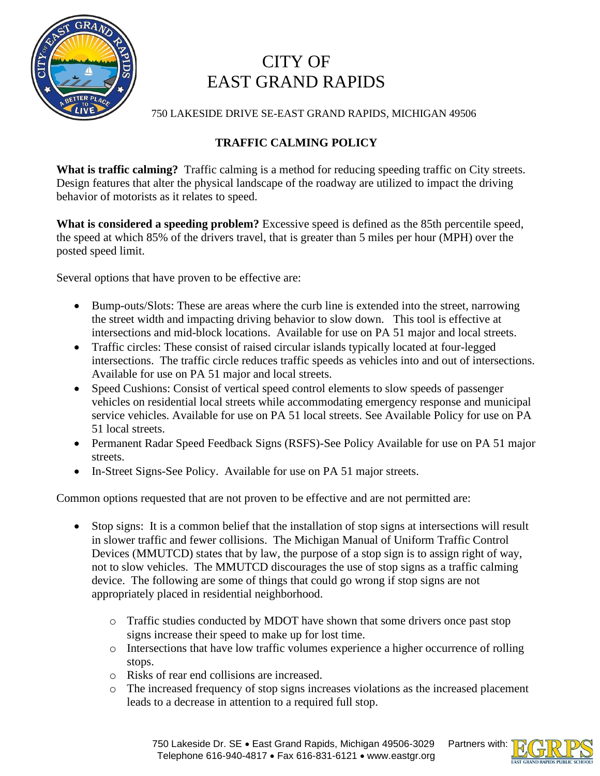

## CITY OF EAST GRAND RAPIDS

750 LAKESIDE DRIVE SE-EAST GRAND RAPIDS, MICHIGAN 49506

## **TRAFFIC CALMING POLICY**

**What is traffic calming?** Traffic calming is a method for reducing speeding traffic on City streets. Design features that alter the physical landscape of the roadway are utilized to impact the driving behavior of motorists as it relates to speed.

**What is considered a speeding problem?** Excessive speed is defined as the 85th percentile speed, the speed at which 85% of the drivers travel, that is greater than 5 miles per hour (MPH) over the posted speed limit.

Several options that have proven to be effective are:

- Bump-outs/Slots: These are areas where the curb line is extended into the street, narrowing the street width and impacting driving behavior to slow down. This tool is effective at intersections and mid-block locations. Available for use on PA 51 major and local streets.
- Traffic circles: These consist of raised circular islands typically located at four-legged intersections. The traffic circle reduces traffic speeds as vehicles into and out of intersections. Available for use on PA 51 major and local streets.
- Speed Cushions: Consist of vertical speed control elements to slow speeds of passenger vehicles on residential local streets while accommodating emergency response and municipal service vehicles. Available for use on PA 51 local streets. See Available Policy for use on PA 51 local streets.
- Permanent Radar Speed Feedback Signs (RSFS)-See Policy Available for use on PA 51 major streets.
- In-Street Signs-See Policy. Available for use on PA 51 major streets.

Common options requested that are not proven to be effective and are not permitted are:

- Stop signs: It is a common belief that the installation of stop signs at intersections will result in slower traffic and fewer collisions. The Michigan Manual of Uniform Traffic Control Devices (MMUTCD) states that by law, the purpose of a stop sign is to assign right of way, not to slow vehicles. The MMUTCD discourages the use of stop signs as a traffic calming device. The following are some of things that could go wrong if stop signs are not appropriately placed in residential neighborhood.
	- o Traffic studies conducted by MDOT have shown that some drivers once past stop signs increase their speed to make up for lost time.
	- o Intersections that have low traffic volumes experience a higher occurrence of rolling stops.
	- o Risks of rear end collisions are increased.
	- o The increased frequency of stop signs increases violations as the increased placement leads to a decrease in attention to a required full stop.



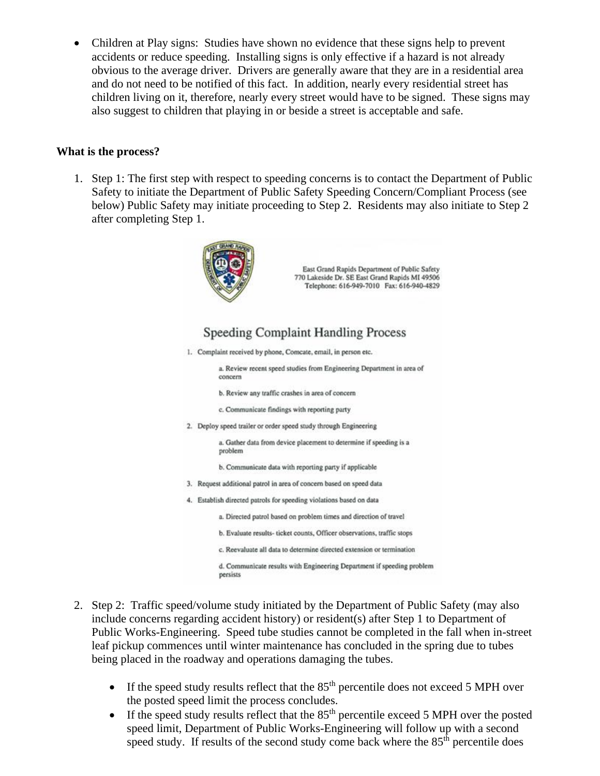• Children at Play signs: Studies have shown no evidence that these signs help to prevent accidents or reduce speeding. Installing signs is only effective if a hazard is not already obvious to the average driver. Drivers are generally aware that they are in a residential area and do not need to be notified of this fact. In addition, nearly every residential street has children living on it, therefore, nearly every street would have to be signed. These signs may also suggest to children that playing in or beside a street is acceptable and safe.

## **What is the process?**

1. Step 1: The first step with respect to speeding concerns is to contact the Department of Public Safety to initiate the Department of Public Safety Speeding Concern/Compliant Process (see below) Public Safety may initiate proceeding to Step 2. Residents may also initiate to Step 2 after completing Step 1.



East Grand Rapids Department of Public Safety 770 Lakeside Dr. SE East Grand Rapids MI 49506 Telephone: 616-949-7010 Fax: 616-940-4829

## Speeding Complaint Handling Process

1. Complaint received by phone, Comcate, email, in person etc.

a. Review recent speed studies from Engineering Department in area of concern

- b. Review any traffic crashes in area of concern
- c. Communicate findings with reporting party
- 2. Deploy speed trailer or order speed study through Engineering

a. Gather data from device placement to determine if speeding is a problem

b. Communicate data with reporting party if applicable

- 3. Request additional patrol in area of concern based on speed data
- 4. Establish directed patrols for speeding violations based on data
	- a. Directed patrol based on problem times and direction of travel
	- b. Evaluate results- ticket counts, Officer observations, traffic stops
	- c. Reevaluate all data to determine directed extension or termination

d. Communicate results with Engineering Department if speeding problem persists

- 2. Step 2: Traffic speed/volume study initiated by the Department of Public Safety (may also include concerns regarding accident history) or resident(s) after Step 1 to Department of Public Works-Engineering. Speed tube studies cannot be completed in the fall when in-street leaf pickup commences until winter maintenance has concluded in the spring due to tubes being placed in the roadway and operations damaging the tubes.
	- If the speed study results reflect that the  $85<sup>th</sup>$  percentile does not exceed 5 MPH over the posted speed limit the process concludes.
	- If the speed study results reflect that the  $85<sup>th</sup>$  percentile exceed 5 MPH over the posted speed limit, Department of Public Works-Engineering will follow up with a second speed study. If results of the second study come back where the 85<sup>th</sup> percentile does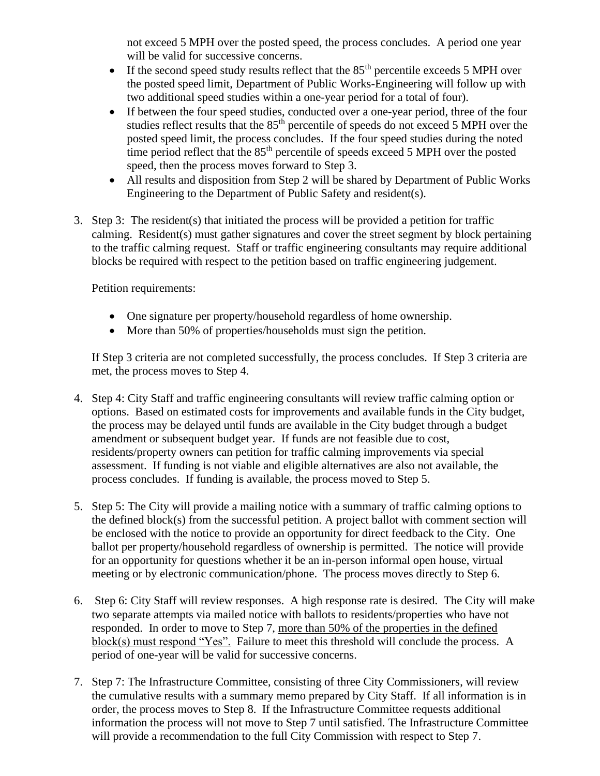not exceed 5 MPH over the posted speed, the process concludes. A period one year will be valid for successive concerns.

- If the second speed study results reflect that the  $85<sup>th</sup>$  percentile exceeds 5 MPH over the posted speed limit, Department of Public Works-Engineering will follow up with two additional speed studies within a one-year period for a total of four).
- If between the four speed studies, conducted over a one-year period, three of the four studies reflect results that the 85<sup>th</sup> percentile of speeds do not exceed 5 MPH over the posted speed limit, the process concludes. If the four speed studies during the noted time period reflect that the 85<sup>th</sup> percentile of speeds exceed 5 MPH over the posted speed, then the process moves forward to Step 3.
- All results and disposition from Step 2 will be shared by Department of Public Works Engineering to the Department of Public Safety and resident(s).
- 3. Step 3: The resident(s) that initiated the process will be provided a petition for traffic calming. Resident(s) must gather signatures and cover the street segment by block pertaining to the traffic calming request. Staff or traffic engineering consultants may require additional blocks be required with respect to the petition based on traffic engineering judgement.

Petition requirements:

- One signature per property/household regardless of home ownership.
- More than 50% of properties/households must sign the petition.

If Step 3 criteria are not completed successfully, the process concludes. If Step 3 criteria are met, the process moves to Step 4.

- 4. Step 4: City Staff and traffic engineering consultants will review traffic calming option or options. Based on estimated costs for improvements and available funds in the City budget, the process may be delayed until funds are available in the City budget through a budget amendment or subsequent budget year. If funds are not feasible due to cost, residents/property owners can petition for traffic calming improvements via special assessment. If funding is not viable and eligible alternatives are also not available, the process concludes. If funding is available, the process moved to Step 5.
- 5. Step 5: The City will provide a mailing notice with a summary of traffic calming options to the defined block(s) from the successful petition. A project ballot with comment section will be enclosed with the notice to provide an opportunity for direct feedback to the City. One ballot per property/household regardless of ownership is permitted. The notice will provide for an opportunity for questions whether it be an in-person informal open house, virtual meeting or by electronic communication/phone. The process moves directly to Step 6.
- 6. Step 6: City Staff will review responses. A high response rate is desired. The City will make two separate attempts via mailed notice with ballots to residents/properties who have not responded. In order to move to Step 7, more than 50% of the properties in the defined block(s) must respond "Yes". Failure to meet this threshold will conclude the process. A period of one-year will be valid for successive concerns.
- 7. Step 7: The Infrastructure Committee, consisting of three City Commissioners, will review the cumulative results with a summary memo prepared by City Staff. If all information is in order, the process moves to Step 8. If the Infrastructure Committee requests additional information the process will not move to Step 7 until satisfied. The Infrastructure Committee will provide a recommendation to the full City Commission with respect to Step 7.